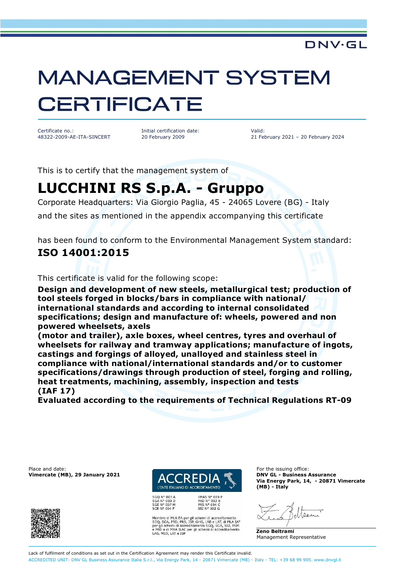# **MANAGEMENT SYSTEM CERTIFICATE**

Certificate no.: 48322-2009-AE-ITA-SINCERT Initial certification date: 20 February 2009

Valid: 21 February 2021 – 20 February 2024

**DNV·GL** 

This is to certify that the management system of

## **LUCCHINI RS S.p.A. - Gruppo**

Corporate Headquarters: Via Giorgio Paglia, 45 - 24065 Lovere (BG) - Italy and the sites as mentioned in the appendix accompanying this certificate

has been found to conform to the Environmental Management System standard:

#### **ISO 14001:2015**

This certificate is valid for the following scope:

**Design and development of new steels, metallurgical test; production of tool steels forged in blocks/bars in compliance with national/ international standards and according to internal consolidated specifications; design and manufacture of: wheels, powered and non powered wheelsets, axels**

**(motor and trailer), axle boxes, wheel centres, tyres and overhaul of wheelsets for railway and tramway applications; manufacture of ingots, castings and forgings of alloyed, unalloyed and stainless steel in compliance with national/international standards and/or to customer specifications/drawings through production of steel, forging and rolling, heat treatments, machining, assembly, inspection and tests (IAF 17)**

**Evaluated according to the requirements of Technical Regulations RT-09**

Place and date:<br> **Place and date:** For the issuing office:<br> **Place and date:** For the issuing office:<br> **Place and date:** For the issuing office:





SGQ N° 003 A<br>SGA N° 003 D<br>SGE N° 007 M<br>SCR N° 004 F

FMAS Nº 009 P PRD N° 003 B<br>PRS N° 094 C<br>SSI N° 002 G

Membro di MLA EA per gli schemi di accreditamento<br>SGQ, SGA, PRD, PRS, ISP, GHG, LAB e LAT, di MLA IAF<br>per gli schemi di accreditamento SGQ, SGA, SSI, FSM<br>e PRD e di MRA ILAC per gli schemi di accreditamento LAB, MED, LAT e ISP

**Vimercate (MB), 29 January 2021 DNV GL - Business Assurance Via Energy Park, 14, - 20871 Vimercate (MB) - Italy**

Apor

**Zeno Beltrami** Management Representative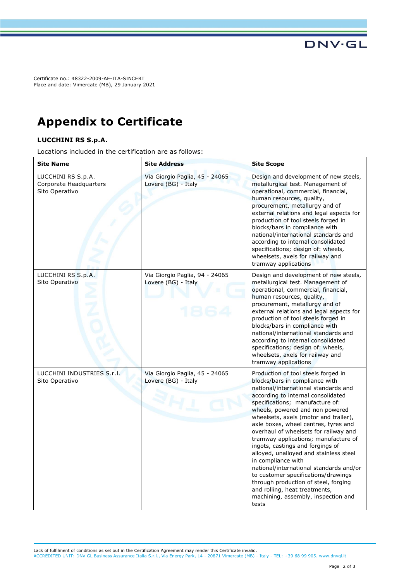Certificate no.: 48322-2009-AE-ITA-SINCERT Place and date: Vimercate (MB), 29 January 2021

### **Appendix to Certificate**

#### **LUCCHINI RS S.p.A.**

Locations included in the certification are as follows:

| <b>Site Name</b>                                               | <b>Site Address</b>                                   | <b>Site Scope</b>                                                                                                                                                                                                                                                                                                                                                                                                                                                                                                                                                                                                                                                                                          |
|----------------------------------------------------------------|-------------------------------------------------------|------------------------------------------------------------------------------------------------------------------------------------------------------------------------------------------------------------------------------------------------------------------------------------------------------------------------------------------------------------------------------------------------------------------------------------------------------------------------------------------------------------------------------------------------------------------------------------------------------------------------------------------------------------------------------------------------------------|
| LUCCHINI RS S.p.A.<br>Corporate Headquarters<br>Sito Operativo | Via Giorgio Paglia, 45 - 24065<br>Lovere (BG) - Italy | Design and development of new steels,<br>metallurgical test. Management of<br>operational, commercial, financial,<br>human resources, quality,<br>procurement, metallurgy and of<br>external relations and legal aspects for<br>production of tool steels forged in<br>blocks/bars in compliance with<br>national/international standards and<br>according to internal consolidated<br>specifications; design of: wheels,<br>wheelsets, axels for railway and<br>tramway applications                                                                                                                                                                                                                      |
| LUCCHINI RS S.p.A.<br>Sito Operativo                           | Via Giorgio Paglia, 94 - 24065<br>Lovere (BG) - Italy | Design and development of new steels,<br>metallurgical test. Management of<br>operational, commercial, financial,<br>human resources, quality,<br>procurement, metallurgy and of<br>external relations and legal aspects for<br>production of tool steels forged in<br>blocks/bars in compliance with<br>national/international standards and<br>according to internal consolidated<br>specifications; design of: wheels,<br>wheelsets, axels for railway and<br>tramway applications                                                                                                                                                                                                                      |
| LUCCHINI INDUSTRIES S.r.I.<br>Sito Operativo                   | Via Giorgio Paglia, 45 - 24065<br>Lovere (BG) - Italy | Production of tool steels forged in<br>blocks/bars in compliance with<br>national/international standards and<br>according to internal consolidated<br>specifications; manufacture of:<br>wheels, powered and non powered<br>wheelsets, axels (motor and trailer),<br>axle boxes, wheel centres, tyres and<br>overhaul of wheelsets for railway and<br>tramway applications; manufacture of<br>ingots, castings and forgings of<br>alloyed, unalloyed and stainless steel<br>in compliance with<br>national/international standards and/or<br>to customer specifications/drawings<br>through production of steel, forging<br>and rolling, heat treatments,<br>machining, assembly, inspection and<br>tests |

**DNV·GL**